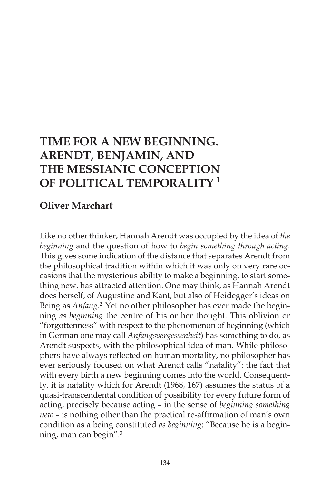# **TIME FOR A NEW BEGINNING. ARENDT, BENJAMIN, AND THE MESSIANIC CONCEPTION OF POLITICAL TEMPORALITY 1**

# **Oliver Marchart**

Like no other thinker, Hannah Arendt was occupied by the idea of *the beginning* and the question of how to *begin something through acting*. This gives some indication of the distance that separates Arendt from the philosophical tradition within which it was only on very rare occasions that the mysterious ability to make a beginning, to start something new, has attracted attention. One may think, as Hannah Arendt does herself, of Augustine and Kant, but also of Heidegger's ideas on Being as *Anfang*. 2 Yet no other philosopher has ever made the beginning *as beginning* the centre of his or her thought. This oblivion or "forgottenness" with respect to the phenomenon of beginning (which in German one may call *Anfangsvergessenheit*) has something to do, as Arendt suspects, with the philosophical idea of man. While philosophers have always reflected on human mortality, no philosopher has ever seriously focused on what Arendt calls "natality": the fact that with every birth a new beginning comes into the world. Consequently, it is natality which for Arendt (1968, 167) assumes the status of a quasi-transcendental condition of possibility for every future form of acting, precisely because acting – in the sense of *beginning something new* – is nothing other than the practical re-affirmation of man's own condition as a being constituted *as beginning*: "Because he is a beginning, man can begin".3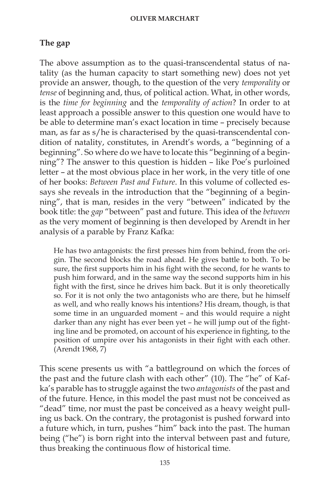# **The gap**

The above assumption as to the quasi-transcendental status of natality (as the human capacity to start something new) does not yet provide an answer, though, to the question of the very *temporality* or *tense* of beginning and, thus, of political action. What, in other words, is the *time for beginning* and the *temporality of action*? In order to at least approach a possible answer to this question one would have to be able to determine man's exact location in time – precisely because man, as far as s/he is characterised by the quasi-transcendental condition of natality, constitutes, in Arendt's words, a "beginning of a beginning". So where do we have to locate this "beginning of a beginning"? The answer to this question is hidden – like Poe's purloined letter – at the most obvious place in her work, in the very title of one of her books: *Between Past and Future*. In this volume of collected essays she reveals in the introduction that the "beginning of a beginning", that is man, resides in the very "between" indicated by the book title: the *gap* "between" past and future. This idea of the *between* as the very moment of beginning is then developed by Arendt in her analysis of a parable by Franz Kafka:

He has two antagonists: the first presses him from behind, from the origin. The second blocks the road ahead. He gives battle to both. To be sure, the first supports him in his fight with the second, for he wants to push him forward, and in the same way the second supports him in his fight with the first, since he drives him back. But it is only theoretically so. For it is not only the two antagonists who are there, but he himself as well, and who really knows his intentions? His dream, though, is that some time in an unguarded moment – and this would require a night darker than any night has ever been yet – he will jump out of the fighting line and be promoted, on account of his experience in fighting, to the position of umpire over his antagonists in their fight with each other. (Arendt 1968, 7)

This scene presents us with "a battleground on which the forces of the past and the future clash with each other" (10). The "he" of Kafka's parable has to struggle against the two *antagonists* of the past and of the future. Hence, in this model the past must not be conceived as "dead" time, nor must the past be conceived as a heavy weight pulling us back. On the contrary, the protagonist is pushed forward into a future which, in turn, pushes "him" back into the past. The human being ("he") is born right into the interval between past and future, thus breaking the continuous flow of historical time.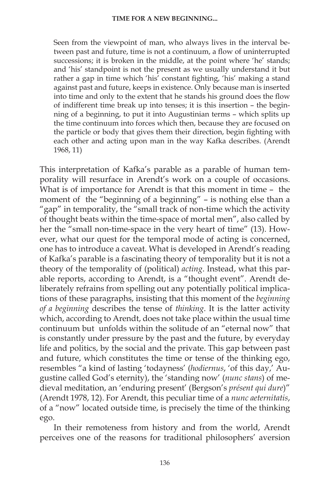Seen from the viewpoint of man, who always lives in the interval between past and future, time is not a continuum, a flow of uninterrupted successions; it is broken in the middle, at the point where 'he' stands; and 'his' standpoint is not the present as we usually understand it but rather a gap in time which 'his' constant fighting, 'his' making a stand against past and future, keeps in existence. Only because man is inserted into time and only to the extent that he stands his ground does the flow of indifferent time break up into tenses; it is this insertion – the beginning of a beginning, to put it into Augustinian terms – which splits up the time continuum into forces which then, because they are focused on the particle or body that gives them their direction, begin fighting with each other and acting upon man in the way Kafka describes. (Arendt 1968, 11)

This interpretation of Kafka's parable as a parable of human temporality will resurface in Arendt's work on a couple of occasions. What is of importance for Arendt is that this moment in time – the moment of the "beginning of a beginning" – is nothing else than a "gap" in temporality, the "small track of non-time which the activity of thought beats within the time-space of mortal men", also called by her the "small non-time-space in the very heart of time" (13). However, what our quest for the temporal mode of acting is concerned, one has to introduce a caveat. What is developed in Arendt's reading of Kafka's parable is a fascinating theory of temporality but it is not a theory of the temporality of (political) *acting*. Instead, what this parable reports, according to Arendt, is a "thought event". Arendt deliberately refrains from spelling out any potentially political implications of these paragraphs, insisting that this moment of the *beginning of a beginning* describes the tense of *thinking*. It is the latter activity which, according to Arendt, does not take place within the usual time continuum but unfolds within the solitude of an "eternal now" that is constantly under pressure by the past and the future, by everyday life and politics, by the social and the private. This gap between past and future, which constitutes the time or tense of the thinking ego, resembles "a kind of lasting 'todayness' (*hodiernus*, 'of this day,' Augustine called God's eternity), the 'standing now' (*nunc stans*) of medieval meditation, an 'enduring present' (Bergson's *présent qui dure*)" (Arendt 1978, 12). For Arendt, this peculiar time of a *nunc aeternitatis*, of a "now" located outside time, is precisely the time of the thinking ego.

In their remoteness from history and from the world, Arendt perceives one of the reasons for traditional philosophers' aversion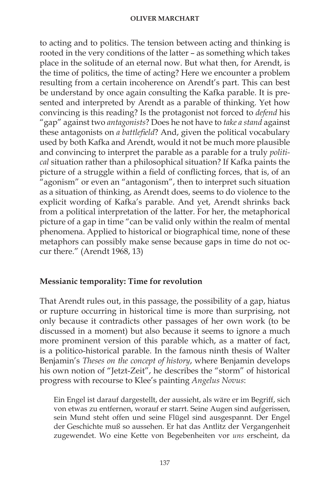to acting and to politics. The tension between acting and thinking is rooted in the very conditions of the latter – as something which takes place in the solitude of an eternal now. But what then, for Arendt, is the time of politics, the time of acting? Here we encounter a problem resulting from a certain incoherence on Arendt's part. This can best be understand by once again consulting the Kafka parable. It is presented and interpreted by Arendt as a parable of thinking. Yet how convincing is this reading? Is the protagonist not forced to *defend* his "gap" against two *antagonists*? Does he not have to *take a stand* against these antagonists on *a battlefield*? And, given the political vocabulary used by both Kafka and Arendt, would it not be much more plausible and convincing to interpret the parable as a parable for a truly *political* situation rather than a philosophical situation? If Kafka paints the picture of a struggle within a field of conflicting forces, that is, of an "agonism" or even an "antagonism", then to interpret such situation as a situation of thinking, as Arendt does, seems to do violence to the explicit wording of Kafka's parable. And yet, Arendt shrinks back from a political interpretation of the latter. For her, the metaphorical picture of a gap in time "can be valid only within the realm of mental phenomena. Applied to historical or biographical time, none of these metaphors can possibly make sense because gaps in time do not occur there." (Arendt 1968, 13)

## **Messianic temporality: Time for revolution**

That Arendt rules out, in this passage, the possibility of a gap, hiatus or rupture occurring in historical time is more than surprising, not only because it contradicts other passages of her own work (to be discussed in a moment) but also because it seems to ignore a much more prominent version of this parable which, as a matter of fact, is a politico-historical parable. In the famous ninth thesis of Walter Benjamin's *Theses on the concept of history*, where Benjamin develops his own notion of "Jetzt-Zeit", he describes the "storm" of historical progress with recourse to Klee's painting *Angelus Novus*:

Ein Engel ist darauf dargestellt, der aussieht, als wäre er im Begriff, sich von etwas zu entfernen, worauf er starrt. Seine Augen sind aufgerissen, sein Mund steht offen und seine Flügel sind ausgespannt. Der Engel der Geschichte muß so aussehen. Er hat das Antlitz der Vergangenheit zugewendet. Wo eine Kette von Begebenheiten vor *uns* erscheint, da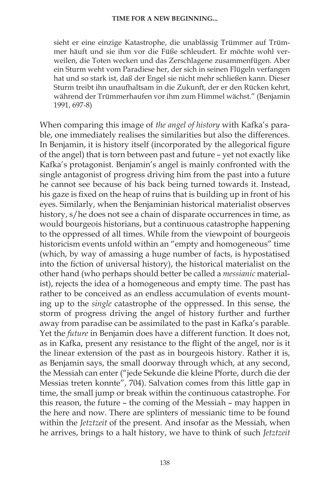sieht er eine einzige Katastrophe, die unablässig Trümmer auf Trümmer häuft und sie ihm vor die Füße schleudert. Er möchte wohl verweilen, die Toten wecken und das Zerschlagene zusammenfügen. Aber ein Sturm weht vom Paradiese her, der sich in seinen Flügeln verfangen hat und so stark ist, daß der Engel sie nicht mehr schließen kann. Dieser Sturm treibt ihn unaufhaltsam in die Zukunft, der er den Rücken kehrt, während der Trümmerhaufen vor ihm zum Himmel wächst." (Benjamin 1991, 697-8)

When comparing this image of *the angel of history* with Kafka's parable, one immediately realises the similarities but also the differences. In Benjamin, it is history itself (incorporated by the allegorical figure of the angel) that is torn between past and future – yet not exactly like Kafka's protagonist. Benjamin's angel is mainly confronted with the single antagonist of progress driving him from the past into a future he cannot see because of his back being turned towards it. Instead, his gaze is fixed on the heap of ruins that is building up in front of his eyes. Similarly, when the Benjaminian historical materialist observes history, s/he does not see a chain of disparate occurrences in time, as would bourgeois historians, but a continuous catastrophe happening to the oppressed of all times. While from the viewpoint of bourgeois historicism events unfold within an "empty and homogeneous" time (which, by way of amassing a huge number of facts, is hypostatised into the fiction of universal history), the historical materialist on the other hand (who perhaps should better be called a *messianic* materialist), rejects the idea of a homogeneous and empty time. The past has rather to be conceived as an endless accumulation of events mounting up to the *single* catastrophe of the oppressed. In this sense, the storm of progress driving the angel of history further and further away from paradise can be assimilated to the past in Kafka's parable. Yet the *future* in Benjamin does have a different function. It does not, as in Kafka, present any resistance to the flight of the angel, nor is it the linear extension of the past as in bourgeois history. Rather it is, as Benjamin says, the small doorway through which, at any second, the Messiah can enter ("jede Sekunde die kleine Pforte, durch die der Messias treten konnte", 704). Salvation comes from this little gap in time, the small jump or break within the continuous catastrophe. For this reason, the future – the coming of the Messiah – may happen in the here and now. There are splinters of messianic time to be found within the *Jetztzeit* of the present. And insofar as the Messiah, when he arrives, brings to a halt history, we have to think of such *Jetztzeit*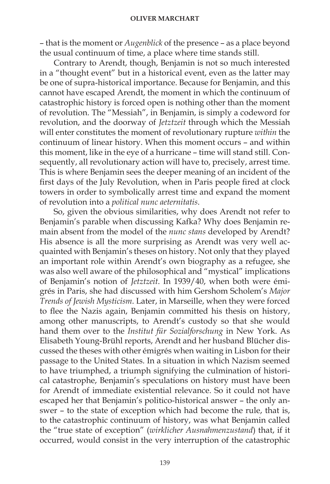– that is the moment or *Augenblick* of the presence – as a place beyond the usual continuum of time, a place where time stands still.

Contrary to Arendt, though, Benjamin is not so much interested in a "thought event" but in a historical event, even as the latter may be one of supra-historical importance. Because for Benjamin, and this cannot have escaped Arendt, the moment in which the continuum of catastrophic history is forced open is nothing other than the moment of revolution. The "Messiah", in Benjamin, is simply a codeword for revolution, and the doorway of *Jetztzeit* through which the Messiah will enter constitutes the moment of revolutionary rupture *within* the continuum of linear history. When this moment occurs – and within this moment, like in the eye of a hurricane – time will stand still. Consequently, all revolutionary action will have to, precisely, arrest time. This is where Benjamin sees the deeper meaning of an incident of the first days of the July Revolution, when in Paris people fired at clock towers in order to symbolically arrest time and expand the moment of revolution into a *political nunc aeternitatis*.

So, given the obvious similarities, why does Arendt not refer to Benjamin's parable when discussing Kafka? Why does Benjamin remain absent from the model of the *nunc stans* developed by Arendt? His absence is all the more surprising as Arendt was very well acquainted with Benjamin's theses on history. Not only that they played an important role within Arendt's own biography as a refugee, she was also well aware of the philosophical and "mystical" implications of Benjamin's notion of *Jetztzeit*. In 1939/40, when both were émigrés in Paris, she had discussed with him Gershom Scholem's *Major Trends of Jewish Mysticism*. Later, in Marseille, when they were forced to flee the Nazis again, Benjamin committed his thesis on history, among other manuscripts, to Arendt's custody so that she would hand them over to the *Institut für Sozialforschung* in New York. As Elisabeth Young-Brühl reports, Arendt and her husband Blücher discussed the theses with other émigrés when waiting in Lisbon for their passage to the United States. In a situation in which Nazism seemed to have triumphed, a triumph signifying the culmination of historical catastrophe, Benjamin's speculations on history must have been for Arendt of immediate existential relevance. So it could not have escaped her that Benjamin's politico-historical answer – the only answer – to the state of exception which had become the rule, that is, to the catastrophic continuum of history, was what Benjamin called the "true state of exception" (*wirklicher Ausnahmenzustand*) that, if it occurred, would consist in the very interruption of the catastrophic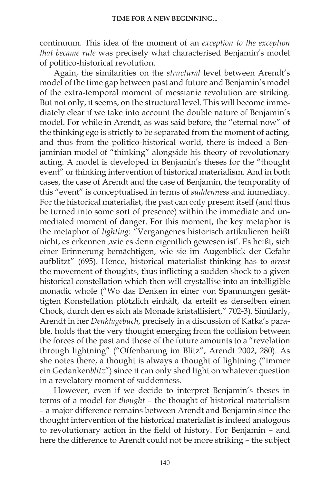continuum. This idea of the moment of an *exception to the exception that became rule* was precisely what characterised Benjamin's model of politico-historical revolution.

Again, the similarities on the *structural* level between Arendt's model of the time gap between past and future and Benjamin's model of the extra-temporal moment of messianic revolution are striking. But not only, it seems, on the structural level. This will become immediately clear if we take into account the double nature of Benjamin's model. For while in Arendt, as was said before, the "eternal now" of the thinking ego is strictly to be separated from the moment of acting, and thus from the politico-historical world, there is indeed a Benjaminian model of "thinking" alongside his theory of revolutionary acting. A model is developed in Benjamin's theses for the "thought event" or thinking intervention of historical materialism. And in both cases, the case of Arendt and the case of Benjamin, the temporality of this "event" is conceptualised in terms of *suddenness* and immediacy. For the historical materialist, the past can only present itself (and thus be turned into some sort of presence) within the immediate and unmediated moment of danger. For this moment, the key metaphor is the metaphor of *lighting*: "Vergangenes historisch artikulieren heißt nicht, es erkennen , wie es denn eigentlich gewesen ist'. Es heißt, sich einer Erinnerung bemächtigen, wie sie im Augenblick der Gefahr aufblitzt" (695). Hence, historical materialist thinking has to *arrest*  the movement of thoughts, thus inflicting a sudden shock to a given historical constellation which then will crystallise into an intelligible monadic whole ("Wo das Denken in einer von Spannungen gesättigten Konstellation plötzlich einhält, da erteilt es derselben einen Chock, durch den es sich als Monade kristallisiert," 702-3). Similarly, Arendt in her *Denktagebuch*, precisely in a discussion of Kafka's parable, holds that the very thought emerging from the collision between the forces of the past and those of the future amounts to a "revelation through lightning" ("Offenbarung im Blitz", Arendt 2002, 280). As she notes there, a thought is always a thought of lightning ("immer ein Gedanken*blitz*") since it can only shed light on whatever question in a revelatory moment of suddenness.

However, even if we decide to interpret Benjamin's theses in terms of a model for *thought* – the thought of historical materialism – a major difference remains between Arendt and Benjamin since the thought intervention of the historical materialist is indeed analogous to revolutionary action in the field of history. For Benjamin – and here the difference to Arendt could not be more striking – the subject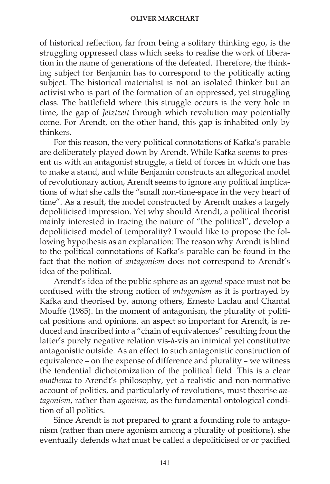of historical reflection, far from being a solitary thinking ego, is the struggling oppressed class which seeks to realise the work of liberation in the name of generations of the defeated. Therefore, the thinking subject for Benjamin has to correspond to the politically acting subject. The historical materialist is not an isolated thinker but an activist who is part of the formation of an oppressed, yet struggling class. The battlefield where this struggle occurs is the very hole in time, the gap of *Jetztzeit* through which revolution may potentially come. For Arendt, on the other hand, this gap is inhabited only by thinkers.

For this reason, the very political connotations of Kafka's parable are deliberately played down by Arendt. While Kafka seems to present us with an antagonist struggle, a field of forces in which one has to make a stand, and while Benjamin constructs an allegorical model of revolutionary action, Arendt seems to ignore any political implications of what she calls the "small non-time-space in the very heart of time". As a result, the model constructed by Arendt makes a largely depoliticised impression. Yet why should Arendt, a political theorist mainly interested in tracing the nature of "the political", develop a depoliticised model of temporality? I would like to propose the following hypothesis as an explanation: The reason why Arendt is blind to the political connotations of Kafka's parable can be found in the fact that the notion of *antagonism* does not correspond to Arendt's idea of the political.

Arendt's idea of the public sphere as an *agonal* space must not be confused with the strong notion of *antagonism* as it is portrayed by Kafka and theorised by, among others, Ernesto Laclau and Chantal Mouffe (1985). In the moment of antagonism, the plurality of political positions and opinions, an aspect so important for Arendt, is reduced and inscribed into a "chain of equivalences" resulting from the latter's purely negative relation vis-à-vis an inimical yet constitutive antagonistic outside. As an effect to such antagonistic construction of equivalence – on the expense of difference and plurality – we witness the tendential dichotomization of the political field. This is a clear *anathema* to Arendt's philosophy, yet a realistic and non-normative account of politics, and particularly of revolutions, must theorise *antagonism*, rather than *agonism*, as the fundamental ontological condition of all politics.

Since Arendt is not prepared to grant a founding role to antagonism (rather than mere agonism among a plurality of positions), she eventually defends what must be called a depoliticised or or pacified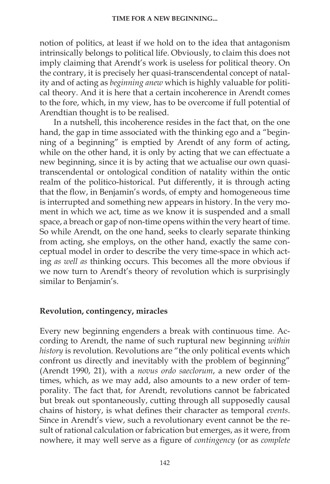notion of politics, at least if we hold on to the idea that antagonism intrinsically belongs to political life. Obviously, to claim this does not imply claiming that Arendt's work is useless for political theory. On the contrary, it is precisely her quasi-transcendental concept of natality and of acting as *beginning anew* which is highly valuable for political theory. And it is here that a certain incoherence in Arendt comes to the fore, which, in my view, has to be overcome if full potential of Arendtian thought is to be realised.

In a nutshell, this incoherence resides in the fact that, on the one hand, the gap in time associated with the thinking ego and a "beginning of a beginning" is emptied by Arendt of any form of acting, while on the other hand, it is only by acting that we can effectuate a new beginning, since it is by acting that we actualise our own quasitranscendental or ontological condition of natality within the ontic realm of the politico-historical. Put differently, it is through acting that the flow, in Benjamin's words, of empty and homogeneous time is interrupted and something new appears in history. In the very moment in which we act, time as we know it is suspended and a small space, a breach or gap of non-time opens within the very heart of time. So while Arendt, on the one hand, seeks to clearly separate thinking from acting, she employs, on the other hand, exactly the same conceptual model in order to describe the very time-space in which acting *as well as* thinking occurs. This becomes all the more obvious if we now turn to Arendt's theory of revolution which is surprisingly similar to Benjamin's.

## **Revolution, contingency, miracles**

Every new beginning engenders a break with continuous time. According to Arendt, the name of such ruptural new beginning *within history* is revolution. Revolutions are "the only political events which confront us directly and inevitably with the problem of beginning" (Arendt 1990, 21), with a *novus ordo saeclorum*, a new order of the times, which, as we may add, also amounts to a new order of temporality. The fact that, for Arendt, revolutions cannot be fabricated but break out spontaneously, cutting through all supposedly causal chains of history, is what defines their character as temporal *events*. Since in Arendt's view, such a revolutionary event cannot be the result of rational calculation or fabrication but emerges, as it were, from nowhere, it may well serve as a figure of *contingency* (or as *complete*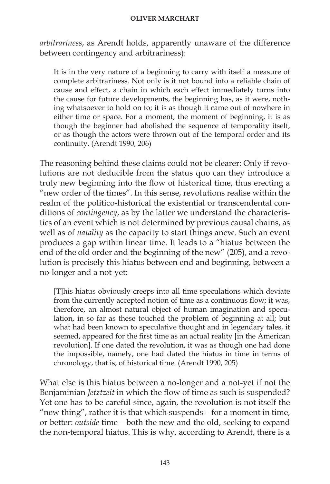*arbitrariness*, as Arendt holds, apparently unaware of the difference between contingency and arbitrariness):

It is in the very nature of a beginning to carry with itself a measure of complete arbitrariness. Not only is it not bound into a reliable chain of cause and effect, a chain in which each effect immediately turns into the cause for future developments, the beginning has, as it were, nothing whatsoever to hold on to; it is as though it came out of nowhere in either time or space. For a moment, the moment of beginning, it is as though the beginner had abolished the sequence of temporality itself, or as though the actors were thrown out of the temporal order and its continuity. (Arendt 1990, 206)

The reasoning behind these claims could not be clearer: Only if revolutions are not deducible from the status quo can they introduce a truly new beginning into the flow of historical time, thus erecting a "new order of the times". In this sense, revolutions realise within the realm of the politico-historical the existential or transcendental conditions of *contingency*, as by the latter we understand the characteristics of an event which is not determined by previous causal chains, as well as of *natality* as the capacity to start things anew. Such an event produces a gap within linear time. It leads to a "hiatus between the end of the old order and the beginning of the new" (205), and a revolution is precisely this hiatus between end and beginning, between a no-longer and a not-yet:

[T]his hiatus obviously creeps into all time speculations which deviate from the currently accepted notion of time as a continuous flow; it was, therefore, an almost natural object of human imagination and speculation, in so far as these touched the problem of beginning at all; but what had been known to speculative thought and in legendary tales, it seemed, appeared for the first time as an actual reality [in the American revolution]. If one dated the revolution, it was as though one had done the impossible, namely, one had dated the hiatus in time in terms of chronology, that is, of historical time. (Arendt 1990, 205)

What else is this hiatus between a no-longer and a not-yet if not the Benjaminian *Jetztzeit* in which the flow of time as such is suspended? Yet one has to be careful since, again, the revolution is not itself the "new thing", rather it is that which suspends – for a moment in time, or better: *outside* time – both the new and the old, seeking to expand the non-temporal hiatus. This is why, according to Arendt, there is a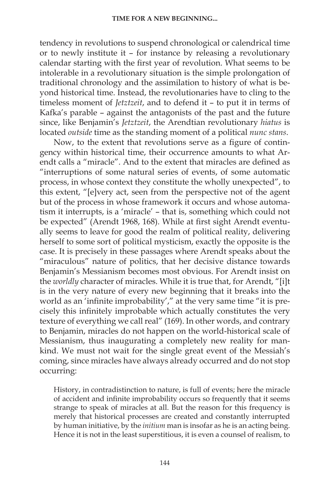tendency in revolutions to suspend chronological or calendrical time or to newly institute it – for instance by releasing a revolutionary calendar starting with the first year of revolution. What seems to be intolerable in a revolutionary situation is the simple prolongation of traditional chronology and the assimilation to history of what is beyond historical time. Instead, the revolutionaries have to cling to the timeless moment of *Jetztzeit*, and to defend it – to put it in terms of Kafka's parable – against the antagonists of the past and the future since, like Benjamin's *Jetztzeit*, the Arendtian revolutionary *hiatus* is located *outside* time as the standing moment of a political *nunc stans*.

Now, to the extent that revolutions serve as a figure of contingency within historical time, their occurrence amounts to what Arendt calls a "miracle". And to the extent that miracles are defined as "interruptions of some natural series of events, of some automatic process, in whose context they constitute the wholly unexpected", to this extent, "[e]very act, seen from the perspective not of the agent but of the process in whose framework it occurs and whose automatism it interrupts, is a 'miracle' – that is, something which could not be expected" (Arendt 1968, 168). While at first sight Arendt eventually seems to leave for good the realm of political reality, delivering herself to some sort of political mysticism, exactly the opposite is the case. It is precisely in these passages where Arendt speaks about the "miraculous" nature of politics, that her decisive distance towards Benjamin's Messianism becomes most obvious. For Arendt insist on the *worldly* character of miracles. While it is true that, for Arendt, "[i]t is in the very nature of every new beginning that it breaks into the world as an 'infinite improbability'," at the very same time "it is precisely this infinitely improbable which actually constitutes the very texture of everything we call real" (169). In other words, and contrary to Benjamin, miracles do not happen on the world-historical scale of Messianism, thus inaugurating a completely new reality for mankind. We must not wait for the single great event of the Messiah's coming, since miracles have always already occurred and do not stop occurring:

History, in contradistinction to nature, is full of events; here the miracle of accident and infinite improbability occurs so frequently that it seems strange to speak of miracles at all. But the reason for this frequency is merely that historical processes are created and constantly interrupted by human initiative, by the *initium* man is insofar as he is an acting being. Hence it is not in the least superstitious, it is even a counsel of realism, to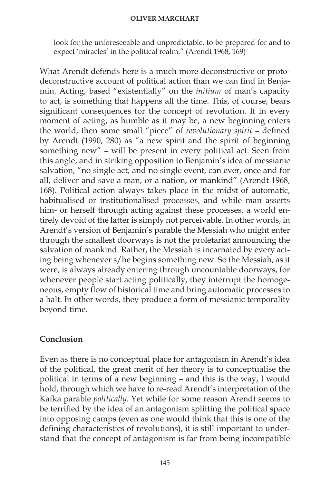look for the unforeseeable and unpredictable, to be prepared for and to expect 'miracles' in the political realm." (Arendt 1968, 169)

What Arendt defends here is a much more deconstructive or protodeconstructive account of political action than we can find in Benjamin. Acting, based "existentially" on the *initium* of man's capacity to act, is something that happens all the time. This, of course, bears significant consequences for the concept of revolution. If in every moment of acting, as humble as it may be, a new beginning enters the world, then some small "piece" of *revolutionary spirit* – defined by Arendt (1990, 280) as "a new spirit and the spirit of beginning something new" – will be present in every political act. Seen from this angle, and in striking opposition to Benjamin's idea of messianic salvation, "no single act, and no single event, can ever, once and for all, deliver and save a man, or a nation, or mankind" (Arendt 1968, 168). Political action always takes place in the midst of automatic, habitualised or institutionalised processes, and while man asserts him- or herself through acting against these processes, a world entirely devoid of the latter is simply not perceivable. In other words, in Arendt's version of Benjamin's parable the Messiah who might enter through the smallest doorways is not the proletariat announcing the salvation of mankind. Rather, the Messiah is incarnated by every acting being whenever s/he begins something new. So the Messiah, as it were, is always already entering through uncountable doorways, for whenever people start acting politically, they interrupt the homogeneous, empty flow of historical time and bring automatic processes to a halt. In other words, they produce a form of messianic temporality beyond time.

## **Conclusion**

Even as there is no conceptual place for antagonism in Arendt's idea of the political, the great merit of her theory is to conceptualise the political in terms of a new beginning – and this is the way, I would hold, through which we have to re-read Arendt's interpretation of the Kafka parable *politically*. Yet while for some reason Arendt seems to be terrified by the idea of an antagonism splitting the political space into opposing camps (even as one would think that this is one of the defining characteristics of revolutions), it is still important to understand that the concept of antagonism is far from being incompatible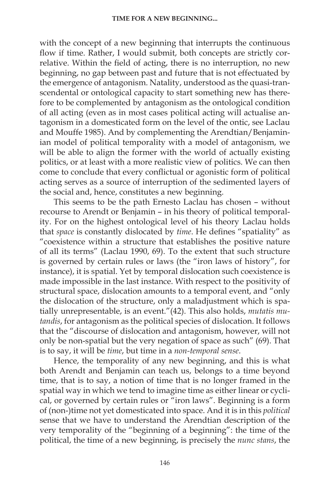with the concept of a new beginning that interrupts the continuous flow if time. Rather, I would submit, both concepts are strictly correlative. Within the field of acting, there is no interruption, no new beginning, no gap between past and future that is not effectuated by the emergence of antagonism. Natality, understood as the quasi-transcendental or ontological capacity to start something new has therefore to be complemented by antagonism as the ontological condition of all acting (even as in most cases political acting will actualise antagonism in a domesticated form on the level of the ontic, see Laclau and Mouffe 1985). And by complementing the Arendtian/Benjaminian model of political temporality with a model of antagonism, we will be able to align the former with the world of actually existing politics, or at least with a more realistic view of politics. We can then come to conclude that every conflictual or agonistic form of political acting serves as a source of interruption of the sedimented layers of the social and, hence, constitutes a new beginning.

This seems to be the path Ernesto Laclau has chosen – without recourse to Arendt or Benjamin – in his theory of political temporality. For on the highest ontological level of his theory Laclau holds that *space* is constantly dislocated by *time*. He defines "spatiality" as "coexistence within a structure that establishes the positive nature of all its terms" (Laclau 1990, 69). To the extent that such structure is governed by certain rules or laws (the "iron laws of history", for instance), it is spatial. Yet by temporal dislocation such coexistence is made impossible in the last instance. With respect to the positivity of structural space, dislocation amounts to a temporal event, and "only the dislocation of the structure, only a maladjustment which is spatially unrepresentable, is an event."(42). This also holds, *mutatis mutandis*, for antagonism as the political species of dislocation. It follows that the "discourse of dislocation and antagonism, however, will not only be non-spatial but the very negation of space as such" (69). That is to say, it will be *time*, but time in a *non-temporal sense*.

Hence, the temporality of any new beginning, and this is what both Arendt and Benjamin can teach us, belongs to a time beyond time, that is to say, a notion of time that is no longer framed in the spatial way in which we tend to imagine time as either linear or cyclical, or governed by certain rules or "iron laws". Beginning is a form of (non-)time not yet domesticated into space. And it is in this *political*  sense that we have to understand the Arendtian description of the very temporality of the "beginning of a beginning": the time of the political, the time of a new beginning, is precisely the *nunc stans*, the